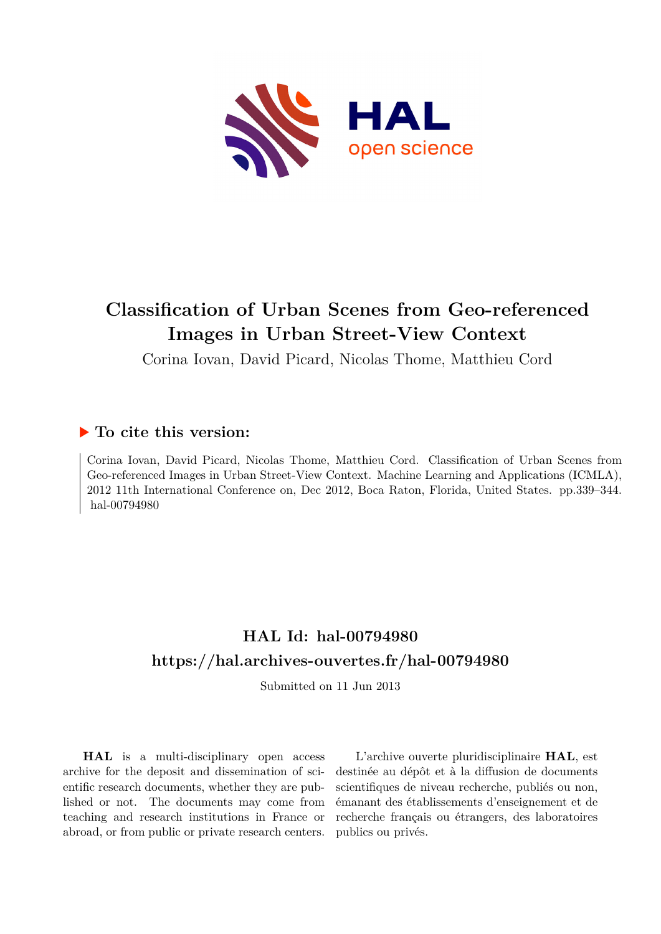

# **Classification of Urban Scenes from Geo-referenced Images in Urban Street-View Context**

Corina Iovan, David Picard, Nicolas Thome, Matthieu Cord

# **To cite this version:**

Corina Iovan, David Picard, Nicolas Thome, Matthieu Cord. Classification of Urban Scenes from Geo-referenced Images in Urban Street-View Context. Machine Learning and Applications (ICMLA), 2012 11th International Conference on, Dec 2012, Boca Raton, Florida, United States. pp.339–344. hal-00794980

# **HAL Id: hal-00794980 <https://hal.archives-ouvertes.fr/hal-00794980>**

Submitted on 11 Jun 2013

**HAL** is a multi-disciplinary open access archive for the deposit and dissemination of scientific research documents, whether they are published or not. The documents may come from teaching and research institutions in France or abroad, or from public or private research centers.

L'archive ouverte pluridisciplinaire **HAL**, est destinée au dépôt et à la diffusion de documents scientifiques de niveau recherche, publiés ou non, émanant des établissements d'enseignement et de recherche français ou étrangers, des laboratoires publics ou privés.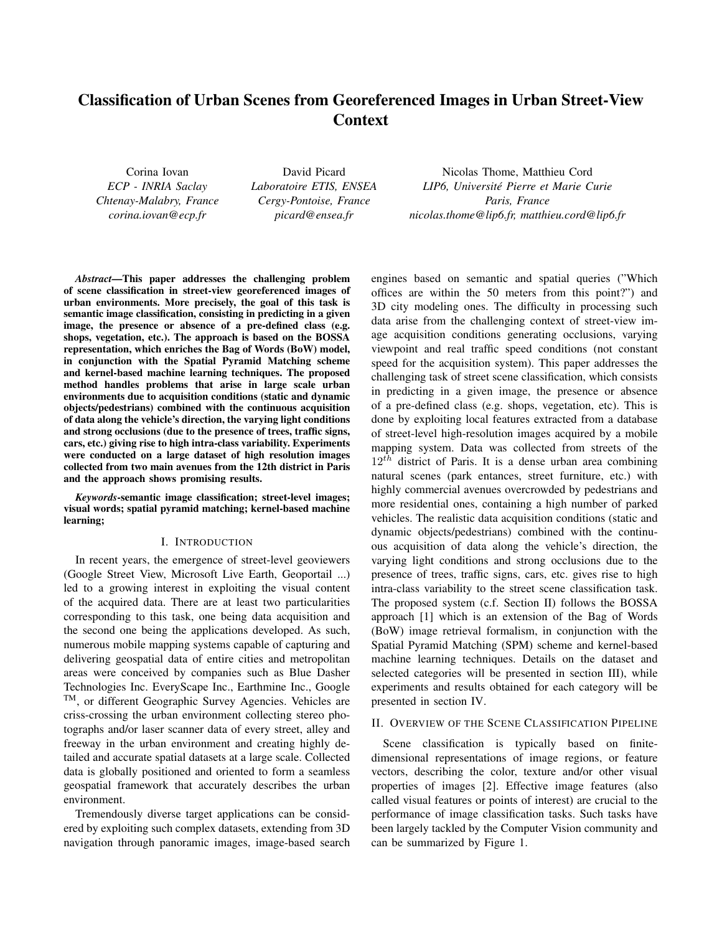# Classification of Urban Scenes from Georeferenced Images in Urban Street-View Context

Corina Iovan *ECP - INRIA Saclay Chtenay-Malabry, France corina.iovan@ecp.fr*

David Picard *Laboratoire ETIS, ENSEA Cergy-Pontoise, France picard@ensea.fr*

Nicolas Thome, Matthieu Cord *LIP6, Universite Pierre et Marie Curie ´ Paris, France nicolas.thome@lip6.fr, matthieu.cord@lip6.fr*

*Abstract*—This paper addresses the challenging problem of scene classification in street-view georeferenced images of urban environments. More precisely, the goal of this task is semantic image classification, consisting in predicting in a given image, the presence or absence of a pre-defined class (e.g. shops, vegetation, etc.). The approach is based on the BOSSA representation, which enriches the Bag of Words (BoW) model, in conjunction with the Spatial Pyramid Matching scheme and kernel-based machine learning techniques. The proposed method handles problems that arise in large scale urban environments due to acquisition conditions (static and dynamic objects/pedestrians) combined with the continuous acquisition of data along the vehicle's direction, the varying light conditions and strong occlusions (due to the presence of trees, traffic signs, cars, etc.) giving rise to high intra-class variability. Experiments were conducted on a large dataset of high resolution images collected from two main avenues from the 12th district in Paris and the approach shows promising results.

*Keywords*-semantic image classification; street-level images; visual words; spatial pyramid matching; kernel-based machine learning;

#### I. INTRODUCTION

In recent years, the emergence of street-level geoviewers (Google Street View, Microsoft Live Earth, Geoportail ...) led to a growing interest in exploiting the visual content of the acquired data. There are at least two particularities corresponding to this task, one being data acquisition and the second one being the applications developed. As such, numerous mobile mapping systems capable of capturing and delivering geospatial data of entire cities and metropolitan areas were conceived by companies such as Blue Dasher Technologies Inc. EveryScape Inc., Earthmine Inc., Google TM, or different Geographic Survey Agencies. Vehicles are criss-crossing the urban environment collecting stereo photographs and/or laser scanner data of every street, alley and freeway in the urban environment and creating highly detailed and accurate spatial datasets at a large scale. Collected data is globally positioned and oriented to form a seamless geospatial framework that accurately describes the urban environment.

Tremendously diverse target applications can be considered by exploiting such complex datasets, extending from 3D navigation through panoramic images, image-based search engines based on semantic and spatial queries ("Which offices are within the 50 meters from this point?") and 3D city modeling ones. The difficulty in processing such data arise from the challenging context of street-view image acquisition conditions generating occlusions, varying viewpoint and real traffic speed conditions (not constant speed for the acquisition system). This paper addresses the challenging task of street scene classification, which consists in predicting in a given image, the presence or absence of a pre-defined class (e.g. shops, vegetation, etc). This is done by exploiting local features extracted from a database of street-level high-resolution images acquired by a mobile mapping system. Data was collected from streets of the  $12<sup>th</sup>$  district of Paris. It is a dense urban area combining natural scenes (park entances, street furniture, etc.) with highly commercial avenues overcrowded by pedestrians and more residential ones, containing a high number of parked vehicles. The realistic data acquisition conditions (static and dynamic objects/pedestrians) combined with the continuous acquisition of data along the vehicle's direction, the varying light conditions and strong occlusions due to the presence of trees, traffic signs, cars, etc. gives rise to high intra-class variability to the street scene classification task. The proposed system (c.f. Section II) follows the BOSSA approach [1] which is an extension of the Bag of Words (BoW) image retrieval formalism, in conjunction with the Spatial Pyramid Matching (SPM) scheme and kernel-based machine learning techniques. Details on the dataset and selected categories will be presented in section III), while experiments and results obtained for each category will be presented in section IV.

## II. OVERVIEW OF THE SCENE CLASSIFICATION PIPELINE

Scene classification is typically based on finitedimensional representations of image regions, or feature vectors, describing the color, texture and/or other visual properties of images [2]. Effective image features (also called visual features or points of interest) are crucial to the performance of image classification tasks. Such tasks have been largely tackled by the Computer Vision community and can be summarized by Figure 1.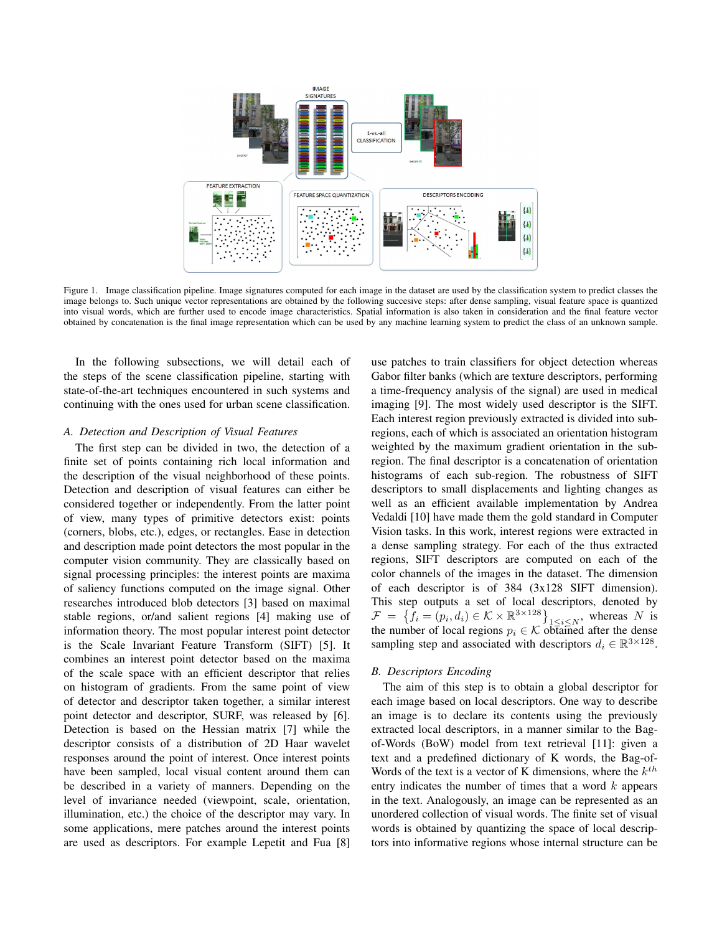

Figure 1. Image classification pipeline. Image signatures computed for each image in the dataset are used by the classification system to predict classes the image belongs to. Such unique vector representations are obtained by the following succesive steps: after dense sampling, visual feature space is quantized into visual words, which are further used to encode image characteristics. Spatial information is also taken in consideration and the final feature vector obtained by concatenation is the final image representation which can be used by any machine learning system to predict the class of an unknown sample.

In the following subsections, we will detail each of the steps of the scene classification pipeline, starting with state-of-the-art techniques encountered in such systems and continuing with the ones used for urban scene classification.

## *A. Detection and Description of Visual Features*

The first step can be divided in two, the detection of a finite set of points containing rich local information and the description of the visual neighborhood of these points. Detection and description of visual features can either be considered together or independently. From the latter point of view, many types of primitive detectors exist: points (corners, blobs, etc.), edges, or rectangles. Ease in detection and description made point detectors the most popular in the computer vision community. They are classically based on signal processing principles: the interest points are maxima of saliency functions computed on the image signal. Other researches introduced blob detectors [3] based on maximal stable regions, or/and salient regions [4] making use of information theory. The most popular interest point detector is the Scale Invariant Feature Transform (SIFT) [5]. It combines an interest point detector based on the maxima of the scale space with an efficient descriptor that relies on histogram of gradients. From the same point of view of detector and descriptor taken together, a similar interest point detector and descriptor, SURF, was released by [6]. Detection is based on the Hessian matrix [7] while the descriptor consists of a distribution of 2D Haar wavelet responses around the point of interest. Once interest points have been sampled, local visual content around them can be described in a variety of manners. Depending on the level of invariance needed (viewpoint, scale, orientation, illumination, etc.) the choice of the descriptor may vary. In some applications, mere patches around the interest points are used as descriptors. For example Lepetit and Fua [8] use patches to train classifiers for object detection whereas Gabor filter banks (which are texture descriptors, performing a time-frequency analysis of the signal) are used in medical imaging [9]. The most widely used descriptor is the SIFT. Each interest region previously extracted is divided into subregions, each of which is associated an orientation histogram weighted by the maximum gradient orientation in the subregion. The final descriptor is a concatenation of orientation histograms of each sub-region. The robustness of SIFT descriptors to small displacements and lighting changes as well as an efficient available implementation by Andrea Vedaldi [10] have made them the gold standard in Computer Vision tasks. In this work, interest regions were extracted in a dense sampling strategy. For each of the thus extracted regions, SIFT descriptors are computed on each of the color channels of the images in the dataset. The dimension of each descriptor is of 384 (3x128 SIFT dimension). This step outputs a set of local descriptors, denoted by  $\mathcal{F} = \{\bar{f}_i = (p_i, d_i) \in \mathcal{K} \times \mathbb{R}^{3 \times 128} \}\}_{1 \leq i \leq N}$ , whereas N is the number of local regions  $p_i \in \mathcal{K}$  obtained after the dense sampling step and associated with descriptors  $d_i \in \mathbb{R}^{3 \times 128}$ .

#### *B. Descriptors Encoding*

The aim of this step is to obtain a global descriptor for each image based on local descriptors. One way to describe an image is to declare its contents using the previously extracted local descriptors, in a manner similar to the Bagof-Words (BoW) model from text retrieval [11]: given a text and a predefined dictionary of K words, the Bag-of-Words of the text is a vector of K dimensions, where the  $k^{th}$ entry indicates the number of times that a word  $k$  appears in the text. Analogously, an image can be represented as an unordered collection of visual words. The finite set of visual words is obtained by quantizing the space of local descriptors into informative regions whose internal structure can be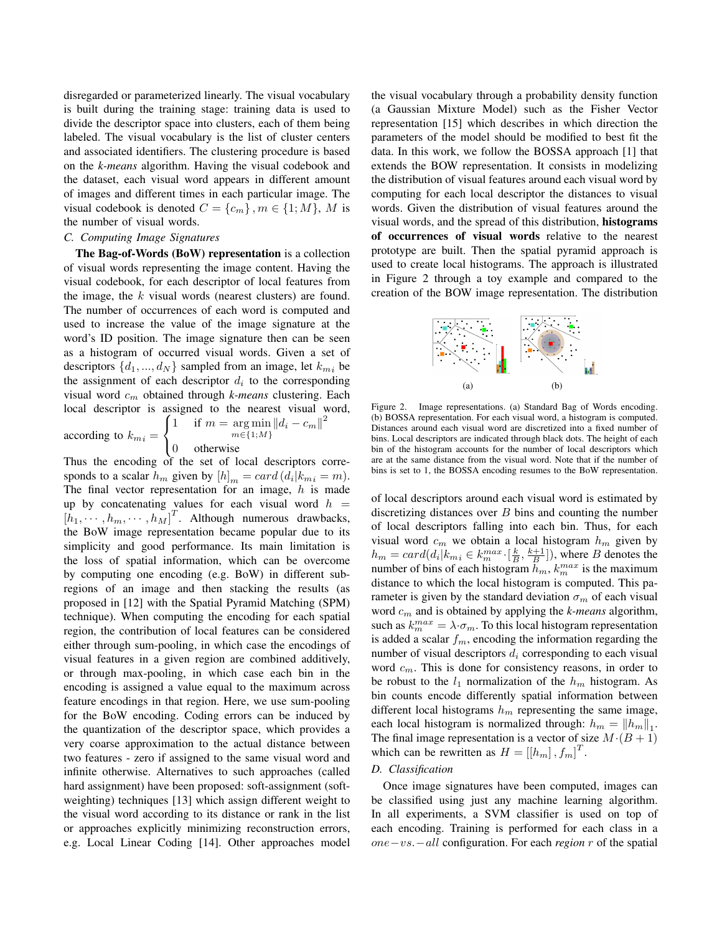disregarded or parameterized linearly. The visual vocabulary is built during the training stage: training data is used to divide the descriptor space into clusters, each of them being labeled. The visual vocabulary is the list of cluster centers and associated identifiers. The clustering procedure is based on the *k-means* algorithm. Having the visual codebook and the dataset, each visual word appears in different amount of images and different times in each particular image. The visual codebook is denoted  $C = \{c_m\}$ ,  $m \in \{1; M\}$ , M is the number of visual words.

#### *C. Computing Image Signatures*

The Bag-of-Words (BoW) representation is a collection of visual words representing the image content. Having the visual codebook, for each descriptor of local features from the image, the  $k$  visual words (nearest clusters) are found. The number of occurrences of each word is computed and used to increase the value of the image signature at the word's ID position. The image signature then can be seen as a histogram of occurred visual words. Given a set of descriptors  $\{d_1, ..., d_N\}$  sampled from an image, let  $k_{m_i}$  be the assignment of each descriptor  $d_i$  to the corresponding visual word c<sup>m</sup> obtained through *k-means* clustering. Each local descriptor is assigned to the nearest visual word,  $\sqrt{ }$  $\left\| d_i - c_m \right\|^2$ 

according to  $k_{mi} =$ 

$$
m \in \{1; M\}
$$
  
0 otherwise

1 if  $m = \arg \min$ 

J

 $\mathcal{L}$ Thus the encoding of the set of local descriptors corresponds to a scalar  $h_m$  given by  $[h]_m = card(d_i|k_{m_i} = m)$ . The final vector representation for an image,  $h$  is made up by concatenating values for each visual word  $h =$  $\begin{bmatrix} h_1, \cdots, h_m, \cdots, h_M \end{bmatrix}^T$ . Although numerous drawbacks, the BoW image representation became popular due to its simplicity and good performance. Its main limitation is the loss of spatial information, which can be overcome by computing one encoding (e.g. BoW) in different subregions of an image and then stacking the results (as proposed in [12] with the Spatial Pyramid Matching (SPM) technique). When computing the encoding for each spatial region, the contribution of local features can be considered either through sum-pooling, in which case the encodings of visual features in a given region are combined additively, or through max-pooling, in which case each bin in the encoding is assigned a value equal to the maximum across feature encodings in that region. Here, we use sum-pooling for the BoW encoding. Coding errors can be induced by the quantization of the descriptor space, which provides a very coarse approximation to the actual distance between two features - zero if assigned to the same visual word and infinite otherwise. Alternatives to such approaches (called hard assignment) have been proposed: soft-assignment (softweighting) techniques [13] which assign different weight to the visual word according to its distance or rank in the list or approaches explicitly minimizing reconstruction errors, e.g. Local Linear Coding [14]. Other approaches model the visual vocabulary through a probability density function (a Gaussian Mixture Model) such as the Fisher Vector representation [15] which describes in which direction the parameters of the model should be modified to best fit the data. In this work, we follow the BOSSA approach [1] that extends the BOW representation. It consists in modelizing the distribution of visual features around each visual word by computing for each local descriptor the distances to visual words. Given the distribution of visual features around the visual words, and the spread of this distribution, histograms of occurrences of visual words relative to the nearest prototype are built. Then the spatial pyramid approach is used to create local histograms. The approach is illustrated in Figure 2 through a toy example and compared to the creation of the BOW image representation. The distribution



Figure 2. Image representations. (a) Standard Bag of Words encoding. (b) BOSSA representation. For each visual word, a histogram is computed. Distances around each visual word are discretized into a fixed number of bins. Local descriptors are indicated through black dots. The height of each bin of the histogram accounts for the number of local descriptors which are at the same distance from the visual word. Note that if the number of bins is set to 1, the BOSSA encoding resumes to the BoW representation.

of local descriptors around each visual word is estimated by discretizing distances over  $B$  bins and counting the number of local descriptors falling into each bin. Thus, for each visual word  $c_m$  we obtain a local histogram  $h_m$  given by  $h_m = card(d_i|k_{mi} \in k_m^{max} \cdot [\frac{k}{B}, \frac{k+1}{B}]),$  where B denotes the number of bins of each histogram  $h_m$ ,  $k_m^{max}$  is the maximum distance to which the local histogram is computed. This parameter is given by the standard deviation  $\sigma_m$  of each visual word c<sup>m</sup> and is obtained by applying the *k-means* algorithm, such as  $k_{m}^{max} = \lambda \cdot \sigma_{m}$ . To this local histogram representation is added a scalar  $f_m$ , encoding the information regarding the number of visual descriptors  $d_i$  corresponding to each visual word  $c_m$ . This is done for consistency reasons, in order to be robust to the  $l_1$  normalization of the  $h_m$  histogram. As bin counts encode differently spatial information between different local histograms  $h_m$  representing the same image, each local histogram is normalized through:  $h_m = ||h_m||_1$ . The final image representation is a vector of size  $M \cdot (B + 1)$ which can be rewritten as  $H = [[h_m], f_m]^T$ .

#### *D. Classification*

Once image signatures have been computed, images can be classified using just any machine learning algorithm. In all experiments, a SVM classifier is used on top of each encoding. Training is performed for each class in a one−vs.−all configuration. For each *region* r of the spatial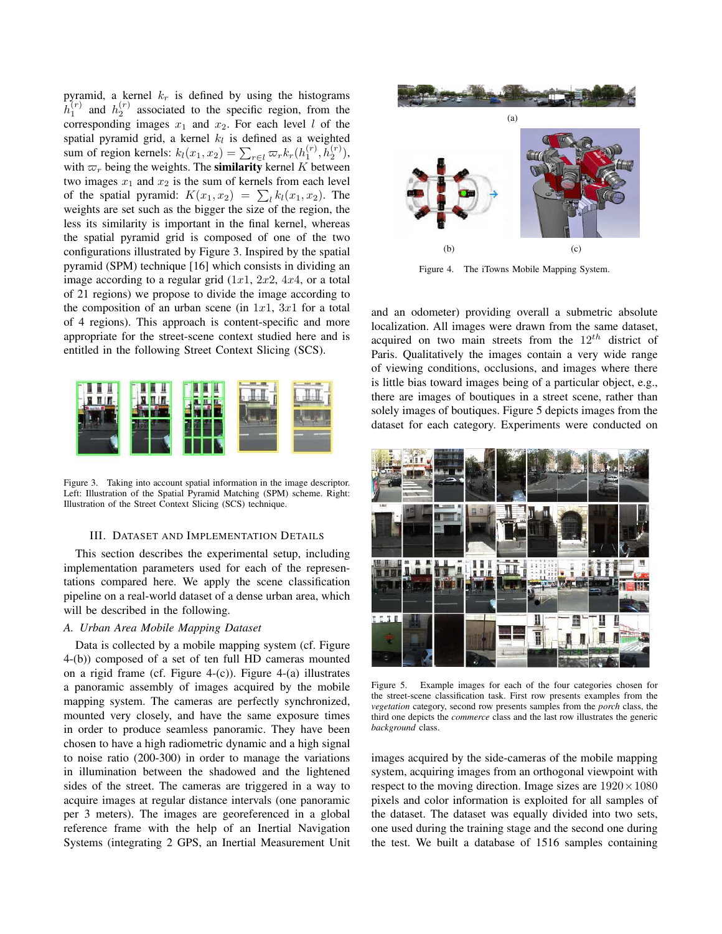pyramid, a kernel  $k_r$  is defined by using the histograms  $h_1^{(r)}$  and  $h_2^{(r)}$  associated to the specific region, from the corresponding images  $x_1$  and  $x_2$ . For each level l of the spatial pyramid grid, a kernel  $k_l$  is defined as a weighted sum of region kernels:  $k_l(x_1, x_2) = \sum_{r \in l} \varpi_r k_r(h_1^{(r)}, h_2^{(r)})$ , with  $\varpi_r$  being the weights. The **similarity** kernel K between two images  $x_1$  and  $x_2$  is the sum of kernels from each level of the spatial pyramid:  $K(x_1, x_2) = \sum_l k_l(x_1, x_2)$ . The weights are set such as the bigger the size of the region, the less its similarity is important in the final kernel, whereas the spatial pyramid grid is composed of one of the two configurations illustrated by Figure 3. Inspired by the spatial pyramid (SPM) technique [16] which consists in dividing an image according to a regular grid  $(1x1, 2x2, 4x4, 0r)$  a total of 21 regions) we propose to divide the image according to the composition of an urban scene (in  $1x1$ ,  $3x1$  for a total of 4 regions). This approach is content-specific and more appropriate for the street-scene context studied here and is entitled in the following Street Context Slicing (SCS).



Figure 3. Taking into account spatial information in the image descriptor. Left: Illustration of the Spatial Pyramid Matching (SPM) scheme. Right: Illustration of the Street Context Slicing (SCS) technique.

#### III. DATASET AND IMPLEMENTATION DETAILS

This section describes the experimental setup, including implementation parameters used for each of the representations compared here. We apply the scene classification pipeline on a real-world dataset of a dense urban area, which will be described in the following.

### *A. Urban Area Mobile Mapping Dataset*

Data is collected by a mobile mapping system (cf. Figure 4-(b)) composed of a set of ten full HD cameras mounted on a rigid frame (cf. Figure 4-(c)). Figure 4-(a) illustrates a panoramic assembly of images acquired by the mobile mapping system. The cameras are perfectly synchronized, mounted very closely, and have the same exposure times in order to produce seamless panoramic. They have been chosen to have a high radiometric dynamic and a high signal to noise ratio (200-300) in order to manage the variations in illumination between the shadowed and the lightened sides of the street. The cameras are triggered in a way to acquire images at regular distance intervals (one panoramic per 3 meters). The images are georeferenced in a global reference frame with the help of an Inertial Navigation Systems (integrating 2 GPS, an Inertial Measurement Unit



Figure 4. The iTowns Mobile Mapping System.

and an odometer) providing overall a submetric absolute localization. All images were drawn from the same dataset, acquired on two main streets from the  $12^{th}$  district of Paris. Qualitatively the images contain a very wide range of viewing conditions, occlusions, and images where there is little bias toward images being of a particular object, e.g., there are images of boutiques in a street scene, rather than solely images of boutiques. Figure 5 depicts images from the dataset for each category. Experiments were conducted on



Figure 5. Example images for each of the four categories chosen for the street-scene classification task. First row presents examples from the *vegetation* category, second row presents samples from the *porch* class, the third one depicts the *commerce* class and the last row illustrates the generic *background* class.

images acquired by the side-cameras of the mobile mapping system, acquiring images from an orthogonal viewpoint with respect to the moving direction. Image sizes are  $1920 \times 1080$ pixels and color information is exploited for all samples of the dataset. The dataset was equally divided into two sets, one used during the training stage and the second one during the test. We built a database of 1516 samples containing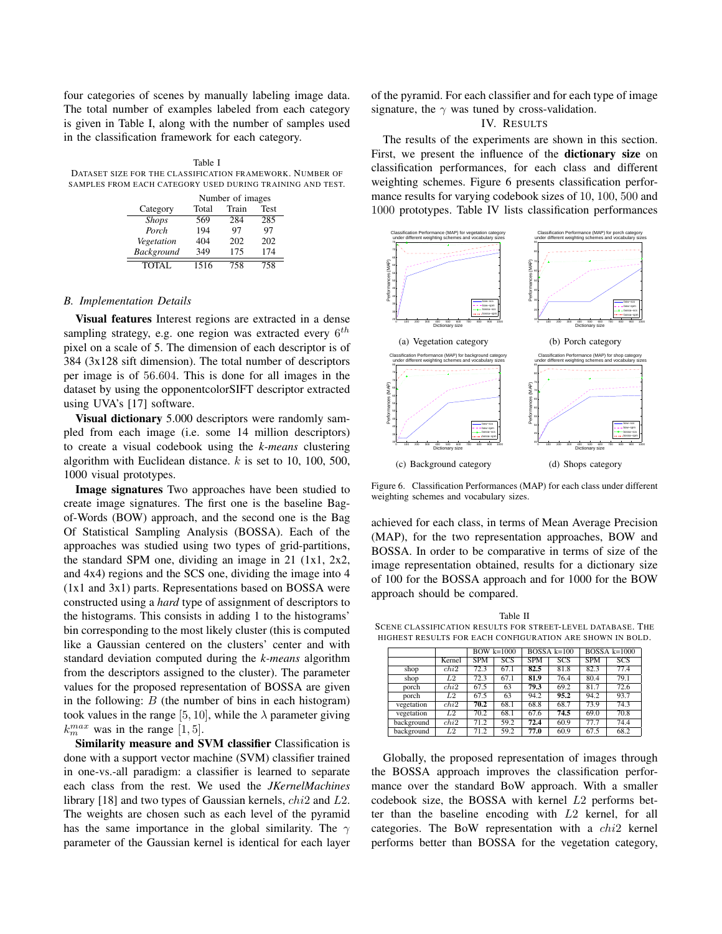four categories of scenes by manually labeling image data. The total number of examples labeled from each category is given in Table I, along with the number of samples used in the classification framework for each category.

Table I DATASET SIZE FOR THE CLASSIFICATION FRAMEWORK. NUMBER OF SAMPLES FROM EACH CATEGORY USED DURING TRAINING AND TEST.

|              | Number of images |       |             |  |  |  |
|--------------|------------------|-------|-------------|--|--|--|
| Category     | Total            | Train | <b>Test</b> |  |  |  |
| <b>Shops</b> | 569              | 284   | 285         |  |  |  |
| Porch        | 194              | 97    | 97          |  |  |  |
| Vegetation   | 404              | 202   | 202         |  |  |  |
| Background   | 349              | 175   | 174         |  |  |  |
| TOTAL        | 1516             | 758   | 758         |  |  |  |

#### *B. Implementation Details*

Visual features Interest regions are extracted in a dense sampling strategy, e.g. one region was extracted every  $6^{th}$ pixel on a scale of 5. The dimension of each descriptor is of 384 (3x128 sift dimension). The total number of descriptors per image is of 56.604. This is done for all images in the dataset by using the opponentcolorSIFT descriptor extracted using UVA's [17] software.

Visual dictionary 5.000 descriptors were randomly sampled from each image (i.e. some 14 million descriptors) to create a visual codebook using the *k-means* clustering algorithm with Euclidean distance.  $k$  is set to 10, 100, 500, 1000 visual prototypes.

Image signatures Two approaches have been studied to create image signatures. The first one is the baseline Bagof-Words (BOW) approach, and the second one is the Bag Of Statistical Sampling Analysis (BOSSA). Each of the approaches was studied using two types of grid-partitions, the standard SPM one, dividing an image in 21 (1x1, 2x2, and 4x4) regions and the SCS one, dividing the image into 4 (1x1 and 3x1) parts. Representations based on BOSSA were constructed using a *hard* type of assignment of descriptors to the histograms. This consists in adding 1 to the histograms' bin corresponding to the most likely cluster (this is computed like a Gaussian centered on the clusters' center and with standard deviation computed during the *k-means* algorithm from the descriptors assigned to the cluster). The parameter values for the proposed representation of BOSSA are given in the following:  $B$  (the number of bins in each histogram) took values in the range [5, 10], while the  $\lambda$  parameter giving  $k_m^{max}$  was in the range [1, 5].

Similarity measure and SVM classifier Classification is done with a support vector machine (SVM) classifier trained in one-vs.-all paradigm: a classifier is learned to separate each class from the rest. We used the *JKernelMachines* library [18] and two types of Gaussian kernels, chi2 and L2. The weights are chosen such as each level of the pyramid has the same importance in the global similarity. The  $\gamma$ parameter of the Gaussian kernel is identical for each layer of the pyramid. For each classifier and for each type of image signature, the  $\gamma$  was tuned by cross-validation.

## IV. RESULTS

The results of the experiments are shown in this section. First, we present the influence of the dictionary size on classification performances, for each class and different weighting schemes. Figure 6 presents classification performance results for varying codebook sizes of 10, 100, 500 and 1000 prototypes. Table IV lists classification performances



Figure 6. Classification Performances (MAP) for each class under different weighting schemes and vocabulary sizes.

achieved for each class, in terms of Mean Average Precision (MAP), for the two representation approaches, BOW and BOSSA. In order to be comparative in terms of size of the image representation obtained, results for a dictionary size of 100 for the BOSSA approach and for 1000 for the BOW approach should be compared.

Table II SCENE CLASSIFICATION RESULTS FOR STREET-LEVEL DATABASE. THE HIGHEST RESULTS FOR EACH CONFIGURATION ARE SHOWN IN BOLD.

|            |        | $BOW$ k= $1000$ |      | $BOSSA$ k=100 |      | $BOSSA$ k=1000 |      |
|------------|--------|-----------------|------|---------------|------|----------------|------|
|            | Kernel | <b>SPM</b>      | SCS  | <b>SPM</b>    | SCS  | <b>SPM</b>     | SCS  |
| shop       | chi2   | 72.3            | 67.1 | 82.5          | 81.8 | 82.3           | 77.4 |
| shop       | L2     | 72.3            | 67.1 | 81.9          | 76.4 | 80.4           | 79.1 |
| porch      | chi2   | 67.5            | 63   | 79.3          | 69.2 | 81.7           | 72.6 |
| porch      | L2     | 67.5            | 63   | 94.2          | 95.2 | 94.2           | 93.7 |
| vegetation | chi2   | 70.2            | 68.1 | 68.8          | 68.7 | 73.9           | 74.3 |
| vegetation | L2     | 70.2            | 68.1 | 67.6          | 74.5 | 69.0           | 70.8 |
| background | chi2   | 71.2            | 59.2 | 72.4          | 60.9 | 77.7           | 74.4 |
| background | L2     | 71.2            | 59.2 | 77.0          | 60.9 | 67.5           | 68.2 |

Globally, the proposed representation of images through the BOSSA approach improves the classification performance over the standard BoW approach. With a smaller codebook size, the BOSSA with kernel L2 performs better than the baseline encoding with L2 kernel, for all categories. The BoW representation with a chi2 kernel performs better than BOSSA for the vegetation category,